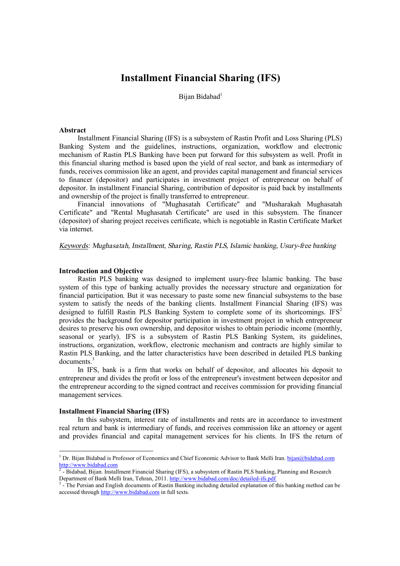# **Installment Financial Sharing (IFS)**

Bijan Bidabad<sup>1</sup>

#### **Abstract**

Installment Financial Sharing (IFS) is a subsystem of Rastin Profit and Loss Sharing (PLS) Banking System and the guidelines, instructions, organization, workflow and electronic mechanism of Rastin PLS Banking have been put forward for this subsystem as well. Profit in this financial sharing method is based upon the yield of real sector, and bank as intermediary of funds, receives commission like an agent, and provides capital management and financial services to financer (depositor) and participates in investment project of entrepreneur on behalf of depositor. In installment Financial Sharing, contribution of depositor is paid back by installments and ownership of the project is finally transferred to entrepreneur.

Financial innovations of "Mughasatah Certificate" and "Musharakah Mughasatah Certificate" and "Rental Mughasatah Certificate" are used in this subsystem. The financer (depositor) of sharing project receives certificate, which is negotiable in Rastin Certificate Market via internet.

*Keywords: Mughasatah, Installment, Sharing, Rastin PLS, Islamic banking, Usury-free banking* 

### **Introduction and Objective**

Rastin PLS banking was designed to implement usury-free Islamic banking. The base system of this type of banking actually provides the necessary structure and organization for financial participation. But it was necessary to paste some new financial subsystems to the base system to satisfy the needs of the banking clients. Installment Financial Sharing (IFS) was designed to fulfill Rastin PLS Banking System to complete some of its shortcomings.  $IFS^2$ provides the background for depositor participation in investment project in which entrepreneur desires to preserve his own ownership, and depositor wishes to obtain periodic income (monthly, seasonal or yearly). IFS is a subsystem of Rastin PLS Banking System, its guidelines, instructions, organization, workflow, electronic mechanism and contracts are highly similar to Rastin PLS Banking, and the latter characteristics have been described in detailed PLS banking documents.<sup>3</sup>

In IFS, bank is a firm that works on behalf of depositor, and allocates his deposit to entrepreneur and divides the profit or loss of the entrepreneur's investment between depositor and the entrepreneur according to the signed contract and receives commission for providing financial management services.

#### **Installment Financial Sharing (IFS)**

-

In this subsystem, interest rate of installments and rents are in accordance to investment real return and bank is intermediary of funds, and receives commission like an attorney or agent and provides financial and capital management services for his clients. In IFS the return of

<sup>&</sup>lt;sup>1</sup> Dr. Bijan Bidabad is Professor of Economics and Chief Economic Advisor to Bank Melli Iran. [bijan@bidabad.com](mailto:bijan@bidabad.com) <http://www.bidabad.com><br><sup>2</sup> - Bidabad, Bijan. Installment Financial Sharing (IFS), a subsystem of Rastin PLS banking, Planning and Research

Department of Bank Melli Iran, Tehran, 2011.<http://www.bidabad.com/doc/detailed-ifs.pdf>

<sup>&</sup>lt;sup>3</sup> - The Persian and English documents of Rastin Banking including detailed explanation of this banking method can be accessed through<http://www.bidabad.com> in full texts.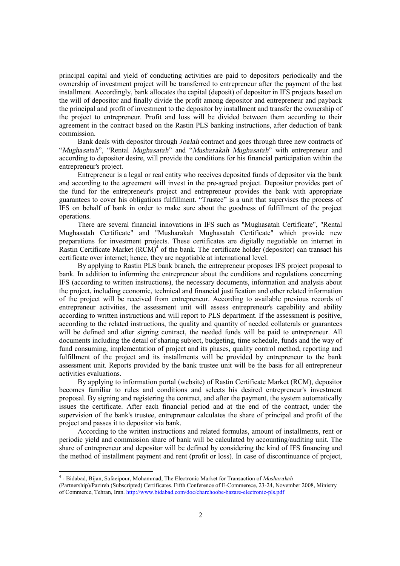principal capital and yield of conducting activities are paid to depositors periodically and the ownership of investment project will be transferred to entrepreneur after the payment of the last installment. Accordingly, bank allocates the capital (deposit) of depositor in IFS projects based on the will of depositor and finally divide the profit among depositor and entrepreneur and payback the principal and profit of investment to the depositor by installment and transfer the ownership of the project to entrepreneur. Profit and loss will be divided between them according to their agreement in the contract based on the Rastin PLS banking instructions, after deduction of bank commission.

Bank deals with depositor through *Joalah* contract and goes through three new contracts of "*Mughasatah*", "Rental *Mughasatah*" and "*Musharakah Mughasatah*" with entrepreneur and according to depositor desire, will provide the conditions for his financial participation within the entrepreneur's project.

Entrepreneur is a legal or real entity who receives deposited funds of depositor via the bank and according to the agreement will invest in the pre-agreed project. Depositor provides part of the fund for the entrepreneur's project and entrepreneur provides the bank with appropriate guarantees to cover his obligations fulfillment. "Trustee" is a unit that supervises the process of IFS on behalf of bank in order to make sure about the goodness of fulfillment of the project operations.

There are several financial innovations in IFS such as "Mughasatah Certificate", "Rental Mughasatah Certificate" and "Musharakah Mughasatah Certificate" which provide new preparations for investment projects. These certificates are digitally negotiable on internet in Rastin Certificate Market  $(RCM)^4$  of the bank. The certificate holder (depositor) can transact his certificate over internet; hence, they are negotiable at international level.

By applying to Rastin PLS bank branch, the entrepreneur proposes IFS project proposal to bank. In addition to informing the entrepreneur about the conditions and regulations concerning IFS (according to written instructions), the necessary documents, information and analysis about the project, including economic, technical and financial justification and other related information of the project will be received from entrepreneur. According to available previous records of entrepreneur activities, the assessment unit will assess entrepreneur's capability and ability according to written instructions and will report to PLS department. If the assessment is positive, according to the related instructions, the quality and quantity of needed collaterals or guarantees will be defined and after signing contract, the needed funds will be paid to entrepreneur. All documents including the detail of sharing subject, budgeting, time schedule, funds and the way of fund consuming, implementation of project and its phases, quality control method, reporting and fulfillment of the project and its installments will be provided by entrepreneur to the bank assessment unit. Reports provided by the bank trustee unit will be the basis for all entrepreneur activities evaluations.

By applying to information portal (website) of Rastin Certificate Market (RCM), depositor becomes familiar to rules and conditions and selects his desired entrepreneur's investment proposal. By signing and registering the contract, and after the payment, the system automatically issues the certificate. After each financial period and at the end of the contract, under the supervision of the bank's trustee, entrepreneur calculates the share of principal and profit of the project and passes it to depositor via bank.

According to the written instructions and related formulas, amount of installments, rent or periodic yield and commission share of bank will be calculated by accounting/auditing unit. The share of entrepreneur and depositor will be defined by considering the kind of IFS financing and the method of installment payment and rent (profit or loss). In case of discontinuance of project,

 4 - Bidabad, Bijan, Safaeipour, Mohammad, The Electronic Market for Transaction of *Musharakah*

<sup>(</sup>Partnership)/Pazireh (Subscripted) Certificates. Fifth Conference of E-Commerece, 23-24, November 2008, Ministry of Commerce, Tehran, Iran. <http://www.bidabad.com/doc/charchoobe-bazare-electronic-pls.pdf>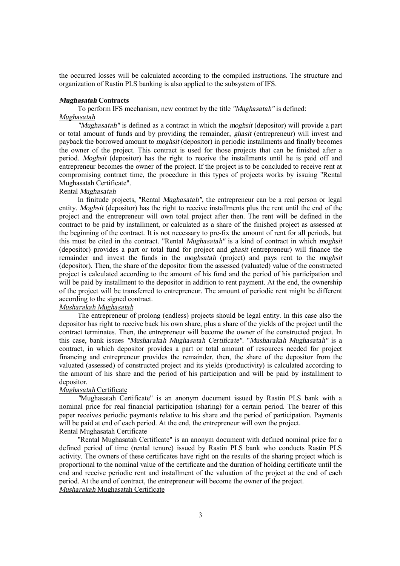the occurred losses will be calculated according to the compiled instructions. The structure and organization of Rastin PLS banking is also applied to the subsystem of IFS.

### *Mughasatah* **Contracts**

To perform IFS mechanism, new contract by the title *"Mughasatah"* is defined: *Mughasatah*

*"Mughasatah"* is defined as a contract in which the *moghsit* (depositor) will provide a part or total amount of funds and by providing the remainder, *ghasit* (entrepreneur) will invest and payback the borrowed amount to *moghsit* (depositor) in periodic installments and finally becomes the owner of the project. This contract is used for those projects that can be finished after a period. *Moghsit* (depositor) has the right to receive the installments until he is paid off and entrepreneur becomes the owner of the project. If the project is to be concluded to receive rent at compromising contract time, the procedure in this types of projects works by issuing "Rental Mughasatah Certificate".

# Rental *Mughasatah*

In finitude projects, "Rental *Mughasatah"*, the entrepreneur can be a real person or legal entity. *Moghsit* (depositor) has the right to receive installments plus the rent until the end of the project and the entrepreneur will own total project after then. The rent will be defined in the contract to be paid by installment, or calculated as a share of the finished project as assessed at the beginning of the contract. It is not necessary to pre-fix the amount of rent for all periods, but this must be cited in the contract. "Rental *Mughasatah"* is a kind of contract in which *moghsit* (depositor) provides a part or total fund for project and *ghasit* (entrepreneur) will finance the remainder and invest the funds in the *moghsatah* (project) and pays rent to the *moghsit* (depositor). Then, the share of the depositor from the assessed (valuated) value of the constructed project is calculated according to the amount of his fund and the period of his participation and will be paid by installment to the depositor in addition to rent payment. At the end, the ownership of the project will be transferred to entrepreneur. The amount of periodic rent might be different according to the signed contract.

# *Musharakah Mughasatah*

The entrepreneur of prolong (endless) projects should be legal entity. In this case also the depositor has right to receive back his own share, plus a share of the yields of the project until the contract terminates. Then, the entrepreneur will become the owner of the constructed project. In this case, bank issues *"Musharakah Mughasatah Certificate"*. "*Musharakah Mughasatah"* is a contract, in which depositor provides a part or total amount of resources needed for project financing and entrepreneur provides the remainder, then, the share of the depositor from the valuated (assessed) of constructed project and its yields (productivity) is calculated according to the amount of his share and the period of his participation and will be paid by installment to depositor.

### *Mughasatah* Certificate

*"*Mughasatah Certificate" is an anonym document issued by Rastin PLS bank with a nominal price for real financial participation (sharing) for a certain period. The bearer of this paper receives periodic payments relative to his share and the period of participation. Payments will be paid at end of each period. At the end, the entrepreneur will own the project. Rental Mughasatah Certificate

"Rental Mughasatah Certificate" is an anonym document with defined nominal price for a defined period of time (rental tenure) issued by Rastin PLS bank who conducts Rastin PLS activity. The owners of these certificates have right on the results of the sharing project which is proportional to the nominal value of the certificate and the duration of holding certificate until the end and receive periodic rent and installment of the valuation of the project at the end of each period. At the end of contract, the entrepreneur will become the owner of the project. *Musharakah* Mughasatah Certificate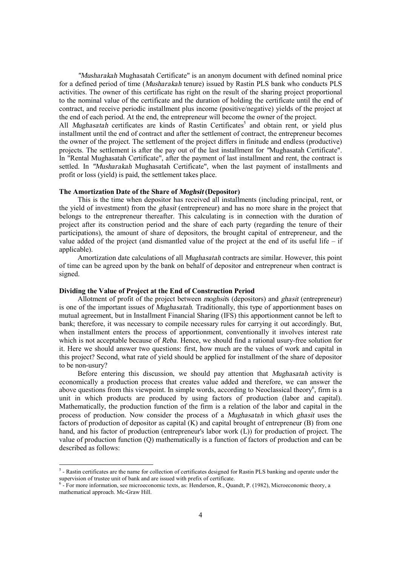*"Musharakah* Mughasatah Certificate" is an anonym document with defined nominal price for a defined period of time (*Musharakah* tenure) issued by Rastin PLS bank who conducts PLS activities. The owner of this certificate has right on the result of the sharing project proportional to the nominal value of the certificate and the duration of holding the certificate until the end of contract, and receive periodic installment plus income (positive/negative) yields of the project at the end of each period. At the end, the entrepreneur will become the owner of the project.

All *Mughasatah* certificates are kinds of Rastin Certificates<sup>5</sup> and obtain rent, or yield plus installment until the end of contract and after the settlement of contract, the entrepreneur becomes the owner of the project. The settlement of the project differs in finitude and endless (productive) projects. The settlement is after the pay out of the last installment for *"*Mughasatah Certificate". In "Rental Mughasatah Certificate", after the payment of last installment and rent, the contract is settled. In *"Musharakah* Mughasatah Certificate", when the last payment of installments and profit or loss (yield) is paid, the settlement takes place.

#### **The Amortization Date of the Share of** *Moghsit* **(Depositor)**

This is the time when depositor has received all installments (including principal, rent, or the yield of investment) from the *ghasit* (entrepreneur) and has no more share in the project that belongs to the entrepreneur thereafter. This calculating is in connection with the duration of project after its construction period and the share of each party (regarding the tenure of their participations), the amount of share of depositors, the brought capital of entrepreneur, and the value added of the project (and dismantled value of the project at the end of its useful life – if applicable).

Amortization date calculations of all *Mughasatah* contracts are similar. However, this point of time can be agreed upon by the bank on behalf of depositor and entrepreneur when contract is signed.

# **Dividing the Value of Project at the End of Construction Period**

-

Allotment of profit of the project between *moghsit*s (depositors) and *ghasit* (entrepreneur) is one of the important issues of *Mughasatah*. Traditionally, this type of apportionment bases on mutual agreement, but in Installment Financial Sharing (IFS) this apportionment cannot be left to bank; therefore, it was necessary to compile necessary rules for carrying it out accordingly. But, when installment enters the process of apportionment, conventionally it involves interest rate which is not acceptable because of *Reba*. Hence, we should find a rational usury-free solution for it. Here we should answer two questions: first, how much are the values of work and capital in this project? Second, what rate of yield should be applied for installment of the share of depositor to be non-usury?

Before entering this discussion, we should pay attention that *Mughasatah* activity is economically a production process that creates value added and therefore, we can answer the above questions from this viewpoint. In simple words, according to Neoclassical theory<sup>6</sup>, firm is a unit in which products are produced by using factors of production (labor and capital). Mathematically, the production function of the firm is a relation of the labor and capital in the process of production. Now consider the process of a *Mughasatah* in which *ghasit* uses the factors of production of depositor as capital  $(K)$  and capital brought of entrepreneur  $(B)$  from one hand, and his factor of production (entrepreneur's labor work (L)) for production of project. The value of production function (Q) mathematically is a function of factors of production and can be described as follows:

 $5$ - Rastin certificates are the name for collection of certificates designed for Rastin PLS banking and operate under the supervision of trustee unit of bank and are issued with prefix of certificate.

<sup>6</sup> - For more information, see microeconomic texts, as: Henderson, R., Quandt, P. (1982), Microeconomic theory, a mathematical approach. Mc-Graw Hill.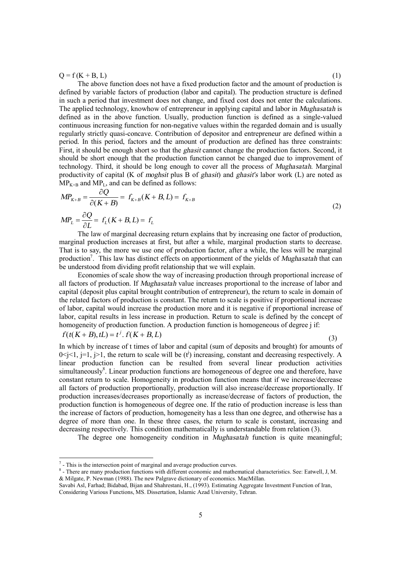$Q = f(K + B, L)$  (1)

The above function does not have a fixed production factor and the amount of production is defined by variable factors of production (labor and capital). The production structure is defined in such a period that investment does not change, and fixed cost does not enter the calculations. The applied technology, knowhow of entrepreneur in applying capital and labor in *Mughasatah* is defined as in the above function. Usually, production function is defined as a single-valued continuous increasing function for non-negative values within the regarded domain and is usually regularly strictly quasi-concave. Contribution of depositor and entrepreneur are defined within a period. In this period, factors and the amount of production are defined has three constraints: First, it should be enough short so that the *ghasit* cannot change the production factors. Second, it should be short enough that the production function cannot be changed due to improvement of technology. Third, it should be long enough to cover all the process of *Mughasatah*. Marginal productivity of capital (K of *moghsit* plus B of *ghasit*) and *ghasit's* labor work (L) are noted as  $MP_{K+B}$  and  $MP_L$ , and can be defined as follows:

$$
MP_{K+B} = \frac{\partial Q}{\partial (K+B)} = f_{K+B}(K+B,L) = f_{K+B}
$$
  

$$
MP_{L} = \frac{\partial Q}{\partial L} = f_{L}(K+B,L) = f_{L}
$$
 (2)

The law of marginal decreasing return explains that by increasing one factor of production, marginal production increases at first, but after a while, marginal production starts to decrease. That is to say, the more we use one of production factor, after a while, the less will be marginal production<sup>7</sup> . This law has distinct effects on apportionment of the yields of *Mughasatah* that can be understood from dividing profit relationship that we will explain.

Economies of scale show the way of increasing production through proportional increase of all factors of production. If *Mughasatah* value increases proportional to the increase of labor and capital (deposit plus capital brought contribution of entrepreneur), the return to scale in domain of the related factors of production is constant. The return to scale is positive if proportional increase of labor, capital would increase the production more and it is negative if proportional increase of labor, capital results in less increase in production. Return to scale is defined by the concept of homogeneity of production function. A production function is homogeneous of degree j if:

 $f(t(K+B), tL) = t^j$ .  $f(K+B, L)$ 

-

(3)

In which by increase of t times of labor and capital (sum of deposits and brought) for amounts of  $0 \le j \le 1$ ,  $j \ge 1$ , the return to scale will be (t<sup>j</sup>) increasing, constant and decreasing respectively. A linear production function can be resulted from several linear production activities simultaneously<sup>8</sup>. Linear production functions are homogeneous of degree one and therefore, have constant return to scale. Homogeneity in production function means that if we increase/decrease all factors of production proportionally, production will also increase/decrease proportionally. If production increases/decreases proportionally as increase/decrease of factors of production, the production function is homogeneous of degree one. If the ratio of production increase is less than the increase of factors of production, homogeneity has a less than one degree, and otherwise has a degree of more than one. In these three cases, the return to scale is constant, increasing and decreasing respectively. This condition mathematically is understandable from relation (3).

The degree one homogeneity condition in *Mughasatah* function is quite meaningful;

 $<sup>7</sup>$  - This is the intersection point of marginal and average production curves.</sup>

<sup>&</sup>lt;sup>8</sup> - There are many production functions with different economic and mathematical characteristics. See: Eatwell, J, M. & Milgate, P. Newman (1988). The new Palgrave dictionary of economics. MacMillan.

Savabi Asl, Farhad; Bidabad, Bijan and Shahrestani, H., (1993). Estimating Aggregate Investment Function of Iran, Considering Various Functions, MS. Dissertation, Islamic Azad University, Tehran.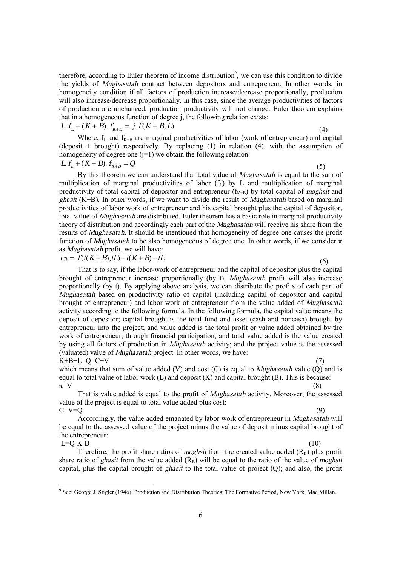therefore, according to Euler theorem of income distribution<sup>9</sup>, we can use this condition to divide the yields of *Mughasatah* contract between depositors and entrepreneur. In other words, in homogeneity condition if all factors of production increase/decrease proportionally, production will also increase/decrease proportionally. In this case, since the average productivities of factors of production are unchanged, production productivity will not change. Euler theorem explains that in a homogeneous function of degree j, the following relation exists:

 $L$ *.f<sub>I</sub>* + (*K* + *B*).*f*<sub>*K*+*B*</sub> = *j.f*(*K* + *B,L*)

(4)

Where,  $f_L$  and  $f_{K+B}$  are marginal productivities of labor (work of entrepreneur) and capital (deposit + brought) respectively. By replacing  $(1)$  in relation  $(4)$ , with the assumption of homogeneity of degree one  $(i=1)$  we obtain the following relation:

$$
L. f_L + (K + B). f_{K+B} = Q \tag{5}
$$

By this theorem we can understand that total value of *Mughasatah* is equal to the sum of multiplication of marginal productivities of labor  $(f<sub>L</sub>)$  by L and multiplication of marginal productivity of total capital of depositor and entrepreneur  $(f_{K+B})$  by total capital of *moghsit* and *ghasit* (K+B). In other words, if we want to divide the result of *Mughasatah* based on marginal productivities of labor work of entrepreneur and his capital brought plus the capital of depositor, total value of *Mughasatah* are distributed. Euler theorem has a basic role in marginal productivity theory of distribution and accordingly each part of the *Mughasatah* will receive his share from the results of *Mughasatah*. It should be mentioned that homogeneity of degree one causes the profit function of *Mughasatah* to be also homogeneous of degree one. In other words, if we consider π as *Mughasatah* profit, we will have:

 $t.\tau = f(t(K+B), tL) - t(K+B) - tL$  (6)

That is to say, if the labor-work of entrepreneur and the capital of depositor plus the capital brought of entrepreneur increase proportionally (by t), *Mughasatah* profit will also increase proportionally (by t). By applying above analysis, we can distribute the profits of each part of *Mughasatah* based on productivity ratio of capital (including capital of depositor and capital brought of entrepreneur) and labor work of entrepreneur from the value added of *Mughasatah* activity according to the following formula. In the following formula, the capital value means the deposit of depositor; capital brought is the total fund and asset (cash and noncash) brought by entrepreneur into the project; and value added is the total profit or value added obtained by the work of entrepreneur, through financial participation; and total value added is the value created by using all factors of production in *Mughasatah* activity; and the project value is the assessed (valuated) value of *Mughasatah* project. In other words, we have:  $K+B+I=Q=CHV$ 

which means that sum of value added (V) and cost (C) is equal to *Mughasatah* value (Q) and is equal to total value of labor work (L) and deposit (K) and capital brought (B). This is because:  $\pi = V$  (8)

That is value added is equal to the profit of *Mughasatah* activity. Moreover, the assessed value of the project is equal to total value added plus cost:  $C+V=Q$  (9)

Accordingly, the value added emanated by labor work of entrepreneur in *Mughasatah* will be equal to the assessed value of the project minus the value of deposit minus capital brought of the entrepreneur:  $L=Q-K-B$  (10)

-

Therefore, the profit share ratios of *moghsit* from the created value added  $(R_K)$  plus profit share ratio of *ghasit* from the value added  $(R_B)$  will be equal to the ratio of the value of *moghsit* capital, plus the capital brought of *ghasit* to the total value of project (Q); and also, the profit

<sup>9</sup> See: George J. Stigler (1946), Production and Distribution Theories: The Formative Period, New York, Mac Millan.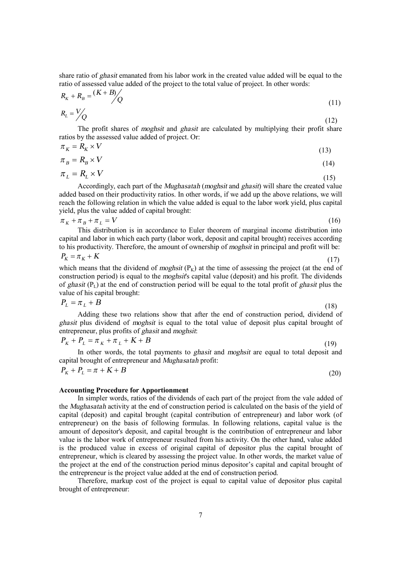share ratio of *ghasit* emanated from his labor work in the created value added will be equal to the ratio of assessed value added of the project to the total value of project. In other words:

$$
R_{K} + R_{B} = \frac{(K + B)}{Q}
$$
\n
$$
R_{L} = \frac{V}{Q}
$$
\n(11)

 $(12)$ The profit shares of *moghsit* and *ghasit* are calculated by multiplying their profit share ratios by the assessed value added of project. Or:

$$
\pi_K = R_K \times V \tag{13}
$$

$$
\pi_B = R_B \times V \tag{14}
$$

$$
\pi_L = R_L \times V \tag{15}
$$

Accordingly, each part of the *Mughasatah* (*moghsit* and *ghasit*) will share the created value added based on their productivity ratios. In other words, if we add up the above relations, we will reach the following relation in which the value added is equal to the labor work yield, plus capital yield, plus the value added of capital brought:

 $\pi_K + \pi_B + \pi_L = V$  (16)

This distribution is in accordance to Euler theorem of marginal income distribution into capital and labor in which each party (labor work, deposit and capital brought) receives according to his productivity. Therefore, the amount of ownership of *moghsit* in principal and profit will be:

$$
P_K = \pi_K + K \tag{17}
$$

which means that the dividend of *moghsit*  $(P_K)$  at the time of assessing the project (at the end of construction period) is equal to the *moghsit*'s capital value (deposit) and his profit. The dividends of *ghasit* (PL) at the end of construction period will be equal to the total profit of *ghasit* plus the value of his capital brought:

$$
P_L = \pi_L + B \tag{18}
$$

Adding these two relations show that after the end of construction period, dividend of *ghasit* plus dividend of *moghsit* is equal to the total value of deposit plus capital brought of entrepreneur, plus profits of *ghasit* and *moghsit*:

$$
P_K + P_L = \pi_K + \pi_L + K + B \tag{19}
$$

In other words, the total payments to *ghasit* and *moghsit* are equal to total deposit and capital brought of entrepreneur and *Mughasatah* profit:

$$
P_K + P_L = \pi + K + B \tag{20}
$$

### **Accounting Procedure for Apportionment**

In simpler words, ratios of the dividends of each part of the project from the vale added of the *Mughasatah* activity at the end of construction period is calculated on the basis of the yield of capital (deposit) and capital brought (capital contribution of entrepreneur) and labor work (of entrepreneur) on the basis of following formulas. In following relations, capital value is the amount of depositor's deposit, and capital brought is the contribution of entrepreneur and labor value is the labor work of entrepreneur resulted from his activity. On the other hand, value added is the produced value in excess of original capital of depositor plus the capital brought of entrepreneur, which is cleared by assessing the project value. In other words, the market value of the project at the end of the construction period minus depositor's capital and capital brought of the entrepreneur is the project value added at the end of construction period.

Therefore, markup cost of the project is equal to capital value of depositor plus capital brought of entrepreneur: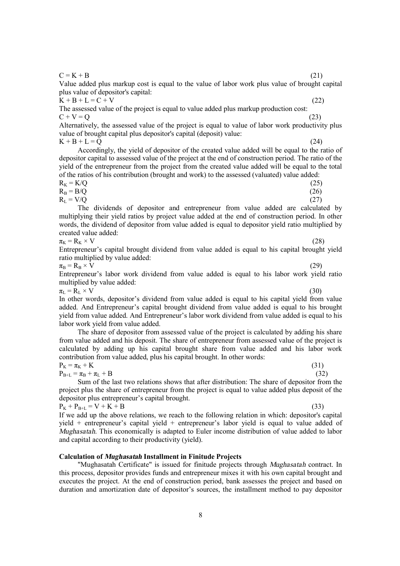8

 $C = K + B$  (21)

Value added plus markup cost is equal to the value of labor work plus value of brought capital plus value of depositor's capital:

 $K + B + L = C + V$  (22) The assessed value of the project is equal to value added plus markup production cost:  $C + V = Q$  (23)

Alternatively, the assessed value of the project is equal to value of labor work productivity plus value of brought capital plus depositor's capital (deposit) value:  $K + B + L = O$  (24)

Accordingly, the yield of depositor of the created value added will be equal to the ratio of depositor capital to assessed value of the project at the end of construction period. The ratio of the yield of the entrepreneur from the project from the created value added will be equal to the total

of the ratios of his contribution (brought and work) to the assessed (valuated) value added:  $R_K = K/Q$  (25)

 $R_B = B/Q$  (26)

 $R_{L} = V/Q$  (27) The dividends of depositor and entrepreneur from value added are calculated by multiplying their yield ratios by project value added at the end of construction period. In other words, the dividend of depositor from value added is equal to depositor yield ratio multiplied by created value added:

 $\pi_{\mathbf{k}} = \mathbf{R}_{\mathbf{k}} \times \mathbf{V}$  (28)

Entrepreneur's capital brought dividend from value added is equal to his capital brought yield ratio multiplied by value added:

 $\pi_{\text{B}} = \text{R}_{\text{B}} \times \text{V}$  (29)

Entrepreneur's labor work dividend from value added is equal to his labor work yield ratio multiplied by value added:

 $\pi_{\text{L}} = \text{R}_{\text{L}} \times \text{V}$  (30)

In other words, depositor's dividend from value added is equal to his capital yield from value added. And Entrepreneur's capital brought dividend from value added is equal to his brought yield from value added. And Entrepreneur's labor work dividend from value added is equal to his labor work yield from value added.

The share of depositor from assessed value of the project is calculated by adding his share from value added and his deposit. The share of entrepreneur from assessed value of the project is calculated by adding up his capital brought share from value added and his labor work contribution from value added, plus his capital brought. In other words:

$$
P_K = \pi_K + K \tag{31}
$$

 $P_{B+L} = \pi_B + \pi_L + B$  (32)

Sum of the last two relations shows that after distribution: The share of depositor from the project plus the share of entrepreneur from the project is equal to value added plus deposit of the depositor plus entrepreneur's capital brought.

 $P_{K} + P_{B+L} = V + K + B$  (33) If we add up the above relations, we reach to the following relation in which: depositor's capital yield + entrepreneur's capital yield + entrepreneur's labor yield is equal to value added of *Mughasatah*. This economically is adapted to Euler income distribution of value added to labor and capital according to their productivity (yield).

## **Calculation of** *Mughasatah* **Installment in Finitude Projects**

"Mughasatah Certificate" is issued for finitude projects through *Mughasatah* contract. In this process, depositor provides funds and entrepreneur mixes it with his own capital brought and executes the project. At the end of construction period, bank assesses the project and based on duration and amortization date of depositor's sources, the installment method to pay depositor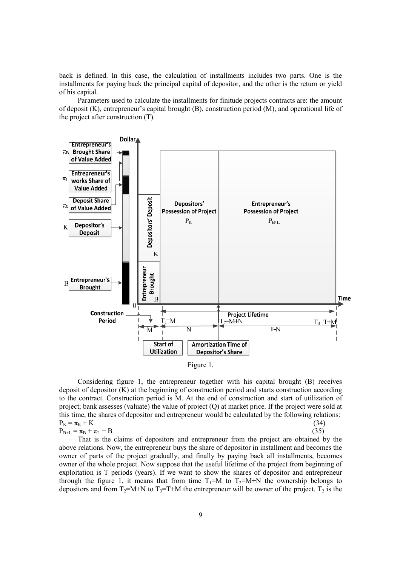back is defined. In this case, the calculation of installments includes two parts. One is the installments for paying back the principal capital of depositor, and the other is the return or yield of his capital.

Parameters used to calculate the installments for finitude projects contracts are: the amount of deposit (K), entrepreneur's capital brought (B), construction period (M), and operational life of the project after construction (T).



Figure 1.

Considering figure 1, the entrepreneur together with his capital brought (B) receives deposit of depositor (K) at the beginning of construction period and starts construction according to the contract. Construction period is M. At the end of construction and start of utilization of project; bank assesses (valuate) the value of project (Q) at market price. If the project were sold at this time, the shares of depositor and entrepreneur would be calculated by the following relations:  $P_{K} = \pi_{K} + K$  (34)<br>  $P_{P+1} = \pi_{P} + \pi_{I} + B$  (35)  $P_{B+L} = \pi_B + \pi_L + B$ 

That is the claims of depositors and entrepreneur from the project are obtained by the above relations. Now, the entrepreneur buys the share of depositor in installment and becomes the owner of parts of the project gradually, and finally by paying back all installments, becomes owner of the whole project. Now suppose that the useful lifetime of the project from beginning of exploitation is T periods (years). If we want to show the shares of depositor and entrepreneur through the figure 1, it means that from time  $T_1=M$  to  $T_2=M+N$  the ownership belongs to depositors and from  $T_2=M+N$  to  $T_3=T+M$  the entrepreneur will be owner of the project.  $T_2$  is the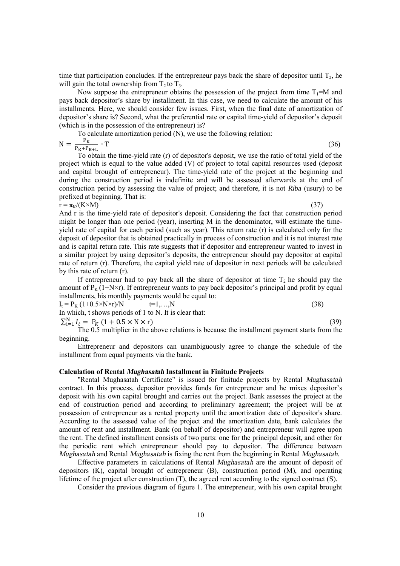time that participation concludes. If the entrepreneur pays back the share of depositor until  $T_2$ , he will gain the total ownership from  $T_2$  to  $T_3$ .

Now suppose the entrepreneur obtains the possession of the project from time  $T_1=M$  and pays back depositor's share by installment. In this case, we need to calculate the amount of his installments. Here, we should consider few issues. First, when the final date of amortization of depositor's share is? Second, what the preferential rate or capital time-yield of depositor's deposit (which is in the possession of the entrepreneur) is?

To calculate amortization period (N), we use the following relation:

 $N = \frac{P}{P_{K}+1}$  $\cdot$  T (36)

To obtain the time-yield rate (r) of depositor's deposit, we use the ratio of total yield of the project which is equal to the value added (V) of project to total capital resources used (deposit and capital brought of entrepreneur). The time-yield rate of the project at the beginning and during the construction period is indefinite and will be assessed afterwards at the end of construction period by assessing the value of project; and therefore, it is not *Riba* (usury) to be prefixed at beginning. That is:

 $r = \pi_K/(K \times M)$  (37)

And r is the time-yield rate of depositor's deposit. Considering the fact that construction period might be longer than one period (year), inserting M in the denominator, will estimate the timeyield rate of capital for each period (such as year). This return rate (r) is calculated only for the deposit of depositor that is obtained practically in process of construction and it is not interest rate and is capital return rate. This rate suggests that if depositor and entrepreneur wanted to invest in a similar project by using depositor's deposits, the entrepreneur should pay depositor at capital rate of return (r). Therefore, the capital yield rate of depositor in next periods will be calculated by this rate of return (r).

If entrepreneur had to pay back all the share of depositor at time  $T_2$  he should pay the amount of  $P_K$  (1+N×r). If entrepreneur wants to pay back depositor's principal and profit by equal installments, his monthly payments would be equal to:

 $I_t = P_K (1+0.5 \times N \times r)/N$  t=1,...,N (38) In which, t shows periods of 1 to N. It is clear that:

 $\sum_{i=1}^{N} I_{t} = P_{K} (1 + 0.5 \times N \times r)$  (39) The 0.5 multiplier in the above relations is because the installment payment starts from the beginning.

Entrepreneur and depositors can unambiguously agree to change the schedule of the installment from equal payments via the bank.

# **Calculation of Rental** *Mughasatah* **Installment in Finitude Projects**

"Rental Mughasatah Certificate" is issued for finitude projects by Rental *Mughasatah* contract. In this process, depositor provides funds for entrepreneur and he mixes depositor's deposit with his own capital brought and carries out the project. Bank assesses the project at the end of construction period and according to preliminary agreement; the project will be at possession of entrepreneur as a rented property until the amortization date of depositor's share. According to the assessed value of the project and the amortization date, bank calculates the amount of rent and installment. Bank (on behalf of depositor) and entrepreneur will agree upon the rent. The defined installment consists of two parts: one for the principal deposit, and other for the periodic rent which entrepreneur should pay to depositor. The difference between *Mughasatah* and Rental *Mughasatah* is fixing the rent from the beginning in Rental *Mughasatah*.

Effective parameters in calculations of Rental *Mughasatah* are the amount of deposit of depositors (K), capital brought of entrepreneur (B), construction period (M), and operating lifetime of the project after construction (T), the agreed rent according to the signed contract (S).

Consider the previous diagram of figure 1. The entrepreneur, with his own capital brought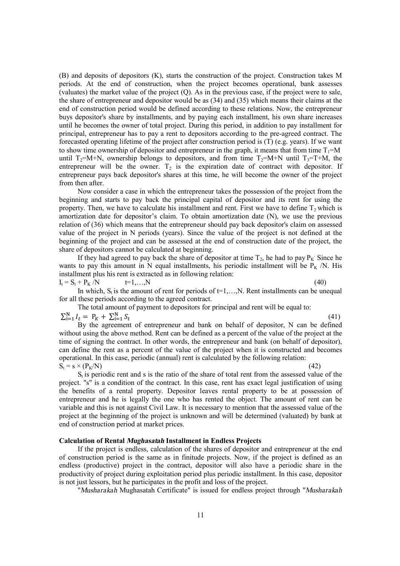(B) and deposits of depositors (K), starts the construction of the project. Construction takes M periods. At the end of construction, when the project becomes operational, bank assesses (valuates) the market value of the project (Q). As in the previous case, if the project were to sale, the share of entrepreneur and depositor would be as (34) and (35) which means their claims at the end of construction period would be defined according to these relations. Now, the entrepreneur buys depositor's share by installments, and by paying each installment, his own share increases until he becomes the owner of total project. During this period, in addition to pay installment for principal, entrepreneur has to pay a rent to depositors according to the pre-agreed contract. The forecasted operating lifetime of the project after construction period is (T) (e.g. years). If we want to show time ownership of depositor and entrepreneur in the graph, it means that from time  $T_1=M$ until  $T_2=M+N$ , ownership belongs to depositors, and from time  $T_2=M+N$  until  $T_3=T+M$ , the entrepreneur will be the owner.  $T_2$  is the expiration date of contract with depositor. If entrepreneur pays back depositor's shares at this time, he will become the owner of the project from then after.

Now consider a case in which the entrepreneur takes the possession of the project from the beginning and starts to pay back the principal capital of depositor and its rent for using the property. Then, we have to calculate his installment and rent. First we have to define  $T_2$  which is amortization date for depositor's claim. To obtain amortization date (N), we use the previous relation of (36) which means that the entrepreneur should pay back depositor's claim on assessed value of the project in N periods (years). Since the value of the project is not defined at the beginning of the project and can be assessed at the end of construction date of the project, the share of depositors cannot be calculated at beginning.

If they had agreed to pay back the share of depositor at time  $T_2$ , he had to pay  $P_K$ . Since he wants to pay this amount in N equal installments, his periodic installment will be  $P_K/N$ . His installment plus his rent is extracted as in following relation:

 $I_t = S_t + P_K /N$   $t=1,...,N$  (40) In which,  $S_t$  is the amount of rent for periods of  $t=1,...,N$ . Rent installments can be unequal for all these periods according to the agreed contract.

The total amount of payment to depositors for principal and rent will be equal to:  $\sum_{i=1}^{N} I_{t} = P_{K} + \sum_{i=1}^{N} S$  $\sum_{i=1}^{N} I_t = P_K + \sum_{i=1}^{N} S_t$  (41)

By the agreement of entrepreneur and bank on behalf of depositor, N can be defined without using the above method. Rent can be defined as a percent of the value of the project at the time of signing the contract. In other words, the entrepreneur and bank (on behalf of depositor), can define the rent as a percent of the value of the project when it is constructed and becomes operational. In this case, periodic (annual) rent is calculated by the following relation:  $S_t = s \times (P_k/N)$  (42)

S<sub>t</sub> is periodic rent and s is the ratio of the share of total rent from the assessed value of the project. "s" is a condition of the contract. In this case, rent has exact legal justification of using the benefits of a rental property. Depositor leaves rental property to be at possession of entrepreneur and he is legally the one who has rented the object. The amount of rent can be variable and this is not against Civil Law. It is necessary to mention that the assessed value of the project at the beginning of the project is unknown and will be determined (valuated) by bank at end of construction period at market prices.

#### **Calculation of Rental** *Mughasatah* **Installment in Endless Projects**

If the project is endless, calculation of the shares of depositor and entrepreneur at the end of construction period is the same as in finitude projects. Now, if the project is defined as an endless (productive) project in the contract, depositor will also have a periodic share in the productivity of project during exploitation period plus periodic installment. In this case, depositor is not just lessors, but he participates in the profit and loss of the project.

"*Musharakah* Mughasatah Certificate" is issued for endless project through "*Musharakah*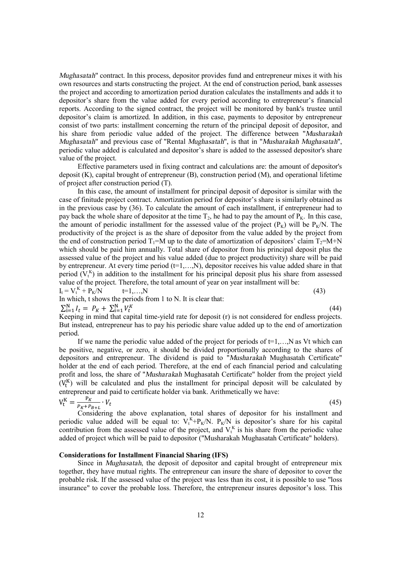*Mughasatah*" contract. In this process, depositor provides fund and entrepreneur mixes it with his own resources and starts constructing the project. At the end of construction period, bank assesses the project and according to amortization period duration calculates the installments and adds it to depositor's share from the value added for every period according to entrepreneur's financial reports. According to the signed contract, the project will be monitored by bank's trustee until depositor's claim is amortized. In addition, in this case, payments to depositor by entrepreneur consist of two parts: installment concerning the return of the principal deposit of depositor, and his share from periodic value added of the project. The difference between "*Musharakah Mughasatah*" and previous case of "Rental *Mughasatah*", is that in "*Musharakah Mughasatah*", periodic value added is calculated and depositor's share is added to the assessed depositor's share value of the project.

Effective parameters used in fixing contract and calculations are: the amount of depositor's deposit (K), capital brought of entrepreneur (B), construction period (M), and operational lifetime of project after construction period (T).

In this case, the amount of installment for principal deposit of depositor is similar with the case of finitude project contract. Amortization period for depositor's share is similarly obtained as in the previous case by (36). To calculate the amount of each installment, if entrepreneur had to pay back the whole share of depositor at the time  $T_2$ , he had to pay the amount of  $\overline{P_K}$ . In this case, the amount of periodic installment for the assessed value of the project  $(P_K)$  will be  $P_K/N$ . The productivity of the project is as the share of depositor from the value added by the project from the end of construction period  $T_1=M$  up to the date of amortization of depositors' claim  $T_2=M+N$ which should be paid him annually. Total share of depositor from his principal deposit plus the assessed value of the project and his value added (due to project productivity) share will be paid by entrepreneur. At every time period  $(t=1,...,N)$ , depositor receives his value added share in that period  $(V_t^K)$  in addition to the installment for his principal deposit plus his share from assessed value of the project. Therefore, the total amount of year on year installment will be:

 $I_t = V_t^K$  $+ P_K/N$  t=1,...,N (43)

In which, t shows the periods from 1 to N. It is clear that:

 $\sum_{i=1}^{N} I_t = P_K + \sum_{i=1}^{N} V_i$ 

 $\sum_{i=1}^{N} V_t^K$  (44) Keeping in mind that capital time-yield rate for deposit (r) is not considered for endless projects. But instead, entrepreneur has to pay his periodic share value added up to the end of amortization period.

If we name the periodic value added of the project for periods of  $t=1,...,N$  as Vt which can be positive, negative, or zero, it should be divided proportionally according to the shares of depositors and entrepreneur. The dividend is paid to "*Musharakah* Mughasatah Certificate" holder at the end of each period. Therefore, at the end of each financial period and calculating profit and loss, the share of "*Musharakah* Mughasatah Certificate" holder from the project yield  $(V_t^K)$  will be calculated and plus the installment for principal deposit will be calculated by entrepreneur and paid to certificate holder via bank. Arithmetically we have:

$$
V_t^K = \frac{P_K}{P_K + P_{B+L}} \cdot V_t
$$
 (45)  
Considering the above explanation, total shares of depositor for his installment and

periodic value added will be equal to:  $V_t^K + P_K/N$ .  $P_K/N$  is depositor's share for his capital contribution from the assessed value of the project, and  $V_t^k$  is his share from the periodic value added of project which will be paid to depositor ("Musharakah Mughasatah Certificate" holders).

# **Considerations for Installment Financial Sharing (IFS)**

Since in *Mughasatah*, the deposit of depositor and capital brought of entrepreneur mix together, they have mutual rights. The entrepreneur can insure the share of depositor to cover the probable risk. If the assessed value of the project was less than its cost, it is possible to use "loss insurance" to cover the probable loss. Therefore, the entrepreneur insures depositor's loss. This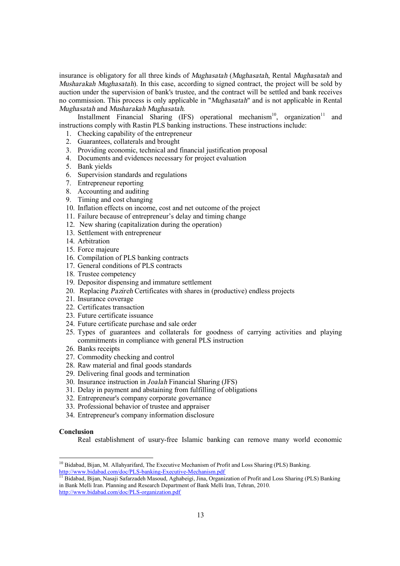insurance is obligatory for all three kinds of *Mughasatah* (*Mughasatah*, Rental *Mughasatah* and *Musharakah Mughasatah*). In this case, according to signed contract, the project will be sold by auction under the supervision of bank's trustee, and the contract will be settled and bank receives no commission. This process is only applicable in "*Mughasatah*" and is not applicable in Rental *Mughasatah* and *Musharakah Mughasatah*.

Installment Financial Sharing (IFS) operational mechanism<sup>10</sup>, organization<sup>11</sup> and instructions comply with Rastin PLS banking instructions. These instructions include:

- 1. Checking capability of the entrepreneur
- 2. Guarantees, collaterals and brought
- 3. Providing economic, technical and financial justification proposal
- 4. Documents and evidences necessary for project evaluation
- 5. Bank yields
- 6. Supervision standards and regulations
- 7. Entrepreneur reporting
- 8. Accounting and auditing
- 9. Timing and cost changing
- 10. Inflation effects on income, cost and net outcome of the project
- 11. Failure because of entrepreneur's delay and timing change
- 12. New sharing (capitalization during the operation)
- 13. Settlement with entrepreneur
- 14. Arbitration
- 15. Force majeure
- 16. Compilation of PLS banking contracts
- 17. General conditions of PLS contracts
- 18. Trustee competency
- 19. Depositor dispensing and immature settlement
- 20. Replacing *Pazireh* Certificates with shares in (productive) endless projects
- 21. Insurance coverage
- 22. Certificates transaction
- 23. Future certificate issuance
- 24. Future certificate purchase and sale order
- 25. Types of guarantees and collaterals for goodness of carrying activities and playing commitments in compliance with general PLS instruction
- 26. Banks receipts
- 27. Commodity checking and control
- 28. Raw material and final goods standards
- 29. Delivering final goods and termination
- 30. Insurance instruction in *Joalah* Financial Sharing (JFS)
- 31. Delay in payment and abstaining from fulfilling of obligations
- 32. Entrepreneur's company corporate governance
- 33. Professional behavior of trustee and appraiser
- 34. Entrepreneur's company information disclosure

#### **Conclusion**

-

Real establishment of usury-free Islamic banking can remove many world economic

<sup>&</sup>lt;sup>10</sup> Bidabad, Bijan, M. Allahyarifard, The Executive Mechanism of Profit and Loss Sharing (PLS) Banking. <http://www.bidabad.com/doc/PLS-banking-Executive-Mechanism.pdf>

<sup>&</sup>lt;sup>11</sup> Bidabad, Bijan, Nasaji Safarzadeh Masoud, Aghabeigi, Jina, Organization of Profit and Loss Sharing (PLS) Banking in Bank Melli Iran. Planning and Research Department of Bank Melli Iran, Tehran, 2010. <http://www.bidabad.com/doc/PLS-organization.pdf>